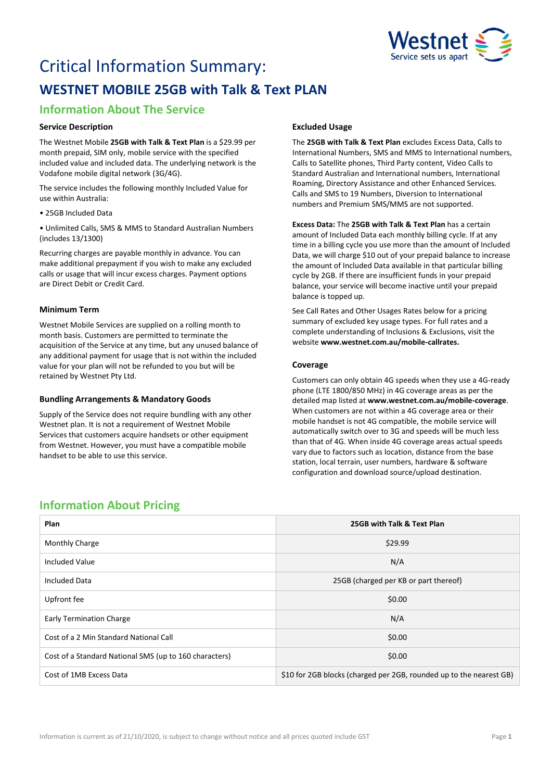

# Critical Information Summary: **WESTNET MOBILE 25GB with Talk & Text PLAN**

# **Information About The Service**

## **Service Description**

The Westnet Mobile **25GB with Talk & Text Plan** is a \$29.99 per month prepaid, SIM only, mobile service with the specified included value and included data. The underlying network is the Vodafone mobile digital network (3G/4G).

The service includes the following monthly Included Value for use within Australia:

• 25GB Included Data

• Unlimited Calls, SMS & MMS to Standard Australian Numbers (includes 13/1300)

Recurring charges are payable monthly in advance. You can make additional prepayment if you wish to make any excluded calls or usage that will incur excess charges. Payment options are Direct Debit or Credit Card.

# **Minimum Term**

Westnet Mobile Services are supplied on a rolling month to month basis. Customers are permitted to terminate the acquisition of the Service at any time, but any unused balance of any additional payment for usage that is not within the included value for your plan will not be refunded to you but will be retained by Westnet Pty Ltd.

### **Bundling Arrangements & Mandatory Goods**

Supply of the Service does not require bundling with any other Westnet plan. It is not a requirement of Westnet Mobile Services that customers acquire handsets or other equipment from Westnet. However, you must have a compatible mobile handset to be able to use this service.

# **Excluded Usage**

The **25GB with Talk & Text Plan** excludes Excess Data, Calls to International Numbers, SMS and MMS to International numbers, Calls to Satellite phones, Third Party content, Video Calls to Standard Australian and International numbers, International Roaming, Directory Assistance and other Enhanced Services. Calls and SMS to 19 Numbers, Diversion to International numbers and Premium SMS/MMS are not supported.

**Excess Data:** The **25GB with Talk & Text Plan** has a certain amount of Included Data each monthly billing cycle. If at any time in a billing cycle you use more than the amount of Included Data, we will charge \$10 out of your prepaid balance to increase the amount of Included Data available in that particular billing cycle by 2GB. If there are insufficient funds in your prepaid balance, your service will become inactive until your prepaid balance is topped up.

See Call Rates and Other Usages Rates below for a pricing summary of excluded key usage types. For full rates and a complete understanding of Inclusions & Exclusions, visit the website **[www.westnet.com.au/mobile-callrates.](http://www.westnet.com.au/mobile-callrates)**

# **Coverage**

Customers can only obtain 4G speeds when they use a 4G-ready phone (LTE 1800/850 MHz) in 4G coverage areas as per the detailed map listed at **[www.westnet.com.au/mobile-coverage](https://www.westnet.com.au/mobile-coverage)**. When customers are not within a 4G coverage area or their mobile handset is not 4G compatible, the mobile service will automatically switch over to 3G and speeds will be much less than that of 4G. When inside 4G coverage areas actual speeds vary due to factors such as location, distance from the base station, local terrain, user numbers, hardware & software configuration and download source/upload destination.

# **Information About Pricing**

| Plan                                                   | 25GB with Talk & Text Plan                                          |
|--------------------------------------------------------|---------------------------------------------------------------------|
| <b>Monthly Charge</b>                                  | \$29.99                                                             |
| <b>Included Value</b>                                  | N/A                                                                 |
| <b>Included Data</b>                                   | 25GB (charged per KB or part thereof)                               |
| Upfront fee                                            | \$0.00                                                              |
| <b>Early Termination Charge</b>                        | N/A                                                                 |
| Cost of a 2 Min Standard National Call                 | \$0.00                                                              |
| Cost of a Standard National SMS (up to 160 characters) | \$0.00                                                              |
| Cost of 1MB Excess Data                                | \$10 for 2GB blocks (charged per 2GB, rounded up to the nearest GB) |